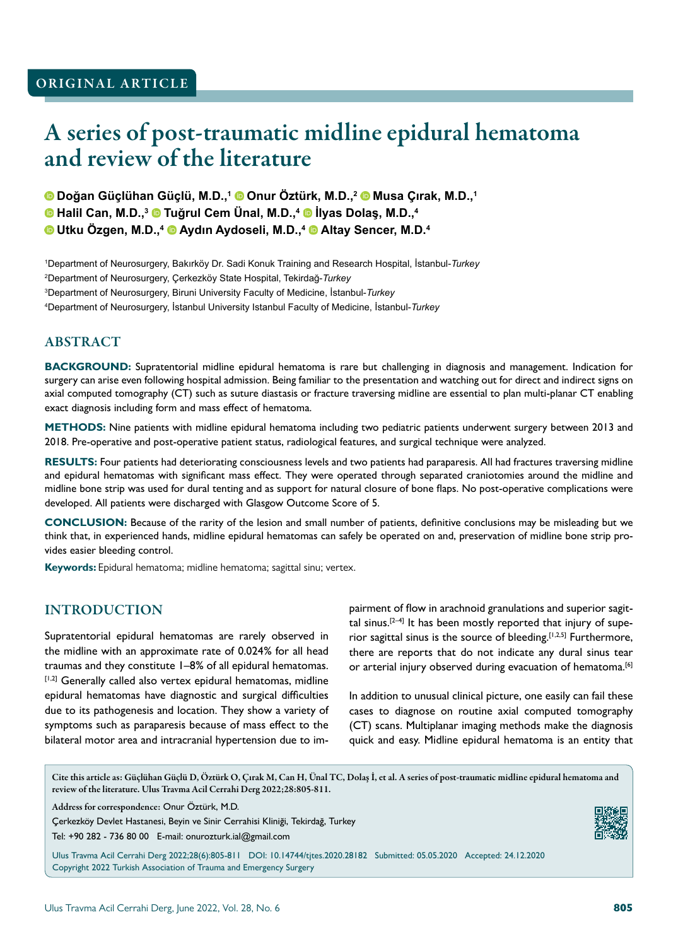# A series of post-traumatic midline epidural hematoma and review of the literature

**Doğan Güçlühan Güçlü, M.D.,<sup>1</sup> Onur Öztürk, M.D.,<sup>2</sup> Musa Çırak, M.D.,<sup>1</sup>**

**Halil Can, M.D.,<sup>3</sup> Tuğrul Cem Ünal, M.D.,<sup>4</sup> İlyas Dolaş, M.D.,<sup>4</sup>**

**Utku Özgen, M.D.,<sup>4</sup> Aydın Aydoseli, M.D.,<sup>4</sup> Altay Sencer, M.D.<sup>4</sup>**

 Department of Neurosurgery, Bakırköy Dr. Sadi Konuk Training and Research Hospital, İstanbul-*Turkey* Department of Neurosurgery, Çerkezköy State Hospital, Tekirdağ-*Turkey* Department of Neurosurgery, Biruni University Faculty of Medicine, İstanbul-*Turkey* Department of Neurosurgery, İstanbul University Istanbul Faculty of Medicine, İstanbul-*Turkey*

#### ABSTRACT

**BACKGROUND:** Supratentorial midline epidural hematoma is rare but challenging in diagnosis and management. Indication for surgery can arise even following hospital admission. Being familiar to the presentation and watching out for direct and indirect signs on axial computed tomography (CT) such as suture diastasis or fracture traversing midline are essential to plan multi-planar CT enabling exact diagnosis including form and mass effect of hematoma.

**METHODS:** Nine patients with midline epidural hematoma including two pediatric patients underwent surgery between 2013 and 2018. Pre-operative and post-operative patient status, radiological features, and surgical technique were analyzed.

**RESULTS:** Four patients had deteriorating consciousness levels and two patients had paraparesis. All had fractures traversing midline and epidural hematomas with significant mass effect. They were operated through separated craniotomies around the midline and midline bone strip was used for dural tenting and as support for natural closure of bone flaps. No post-operative complications were developed. All patients were discharged with Glasgow Outcome Score of 5.

**CONCLUSION:** Because of the rarity of the lesion and small number of patients, definitive conclusions may be misleading but we think that, in experienced hands, midline epidural hematomas can safely be operated on and, preservation of midline bone strip provides easier bleeding control.

**Keywords:** Epidural hematoma; midline hematoma; sagittal sinu; vertex.

### INTRODUCTION

Supratentorial epidural hematomas are rarely observed in the midline with an approximate rate of 0.024% for all head traumas and they constitute 1–8% of all epidural hematomas. [1,2] Generally called also vertex epidural hematomas, midline epidural hematomas have diagnostic and surgical difficulties due to its pathogenesis and location. They show a variety of symptoms such as paraparesis because of mass effect to the bilateral motor area and intracranial hypertension due to impairment of flow in arachnoid granulations and superior sagittal sinus.<sup>[2–4]</sup> It has been mostly reported that injury of superior sagittal sinus is the source of bleeding.<sup>[1,2,5]</sup> Furthermore, there are reports that do not indicate any dural sinus tear or arterial injury observed during evacuation of hematoma.<sup>[6]</sup>

In addition to unusual clinical picture, one easily can fail these cases to diagnose on routine axial computed tomography (CT) scans. Multiplanar imaging methods make the diagnosis quick and easy. Midline epidural hematoma is an entity that

Cite this article as: Güçlühan Güçlü D, Öztürk O, Çırak M, Can H, Ünal TC, Dolaş İ, et al. A series of post-traumatic midline epidural hematoma and review of the literature. Ulus Travma Acil Cerrahi Derg 2022;28:805-811.

Address for correspondence: Onur Öztürk, M.D.

Çerkezköy Devlet Hastanesi, Beyin ve Sinir Cerrahisi Kliniği, Tekirdağ, Turkey

Tel: +90 282 - 736 80 00 E-mail: onurozturk.ial@gmail.com

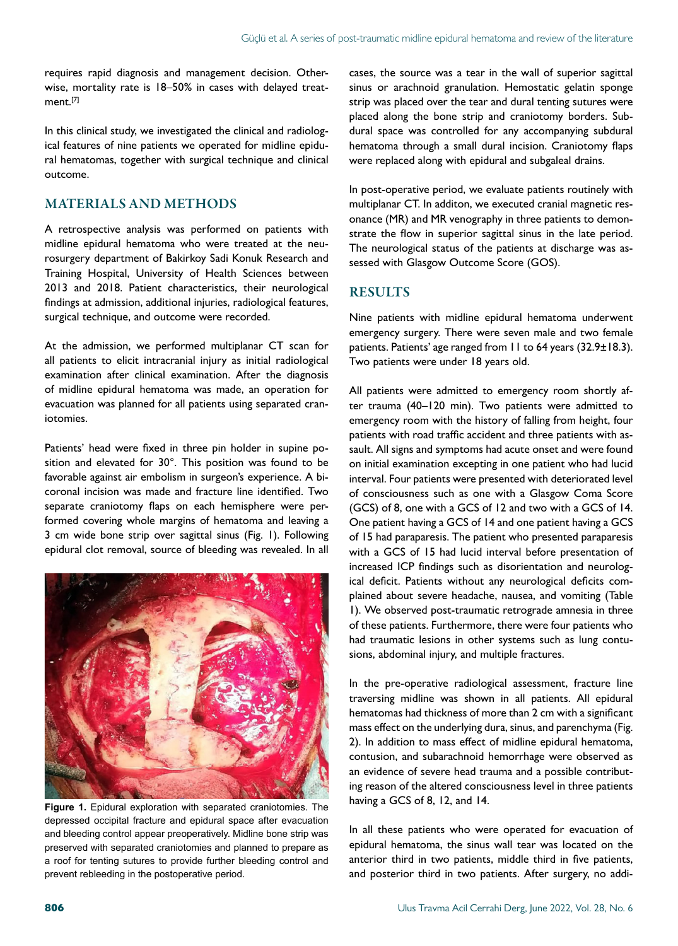requires rapid diagnosis and management decision. Otherwise, mortality rate is 18–50% in cases with delayed treatment.<sup>[7]</sup>

In this clinical study, we investigated the clinical and radiological features of nine patients we operated for midline epidural hematomas, together with surgical technique and clinical outcome.

#### MATERIALS AND METHODS

A retrospective analysis was performed on patients with midline epidural hematoma who were treated at the neurosurgery department of Bakirkoy Sadi Konuk Research and Training Hospital, University of Health Sciences between 2013 and 2018. Patient characteristics, their neurological findings at admission, additional injuries, radiological features, surgical technique, and outcome were recorded.

At the admission, we performed multiplanar CT scan for all patients to elicit intracranial injury as initial radiological examination after clinical examination. After the diagnosis of midline epidural hematoma was made, an operation for evacuation was planned for all patients using separated craniotomies.

Patients' head were fixed in three pin holder in supine position and elevated for 30°. This position was found to be favorable against air embolism in surgeon's experience. A bicoronal incision was made and fracture line identified. Two separate craniotomy flaps on each hemisphere were performed covering whole margins of hematoma and leaving a 3 cm wide bone strip over sagittal sinus (Fig. 1). Following epidural clot removal, source of bleeding was revealed. In all



**Figure 1.** Epidural exploration with separated craniotomies. The depressed occipital fracture and epidural space after evacuation and bleeding control appear preoperatively. Midline bone strip was preserved with separated craniotomies and planned to prepare as a roof for tenting sutures to provide further bleeding control and prevent rebleeding in the postoperative period.

cases, the source was a tear in the wall of superior sagittal sinus or arachnoid granulation. Hemostatic gelatin sponge strip was placed over the tear and dural tenting sutures were placed along the bone strip and craniotomy borders. Subdural space was controlled for any accompanying subdural hematoma through a small dural incision. Craniotomy flaps were replaced along with epidural and subgaleal drains.

In post-operative period, we evaluate patients routinely with multiplanar CT. In additon, we executed cranial magnetic resonance (MR) and MR venography in three patients to demonstrate the flow in superior sagittal sinus in the late period. The neurological status of the patients at discharge was assessed with Glasgow Outcome Score (GOS).

#### **RESULTS**

Nine patients with midline epidural hematoma underwent emergency surgery. There were seven male and two female patients. Patients' age ranged from 11 to 64 years (32.9±18.3). Two patients were under 18 years old.

All patients were admitted to emergency room shortly after trauma (40–120 min). Two patients were admitted to emergency room with the history of falling from height, four patients with road traffic accident and three patients with assault. All signs and symptoms had acute onset and were found on initial examination excepting in one patient who had lucid interval. Four patients were presented with deteriorated level of consciousness such as one with a Glasgow Coma Score (GCS) of 8, one with a GCS of 12 and two with a GCS of 14. One patient having a GCS of 14 and one patient having a GCS of 15 had paraparesis. The patient who presented paraparesis with a GCS of 15 had lucid interval before presentation of increased ICP findings such as disorientation and neurological deficit. Patients without any neurological deficits complained about severe headache, nausea, and vomiting (Table 1). We observed post-traumatic retrograde amnesia in three of these patients. Furthermore, there were four patients who had traumatic lesions in other systems such as lung contusions, abdominal injury, and multiple fractures.

In the pre-operative radiological assessment, fracture line traversing midline was shown in all patients. All epidural hematomas had thickness of more than 2 cm with a significant mass effect on the underlying dura, sinus, and parenchyma (Fig. 2). In addition to mass effect of midline epidural hematoma, contusion, and subarachnoid hemorrhage were observed as an evidence of severe head trauma and a possible contributing reason of the altered consciousness level in three patients having a GCS of 8, 12, and 14.

In all these patients who were operated for evacuation of epidural hematoma, the sinus wall tear was located on the anterior third in two patients, middle third in five patients, and posterior third in two patients. After surgery, no addi-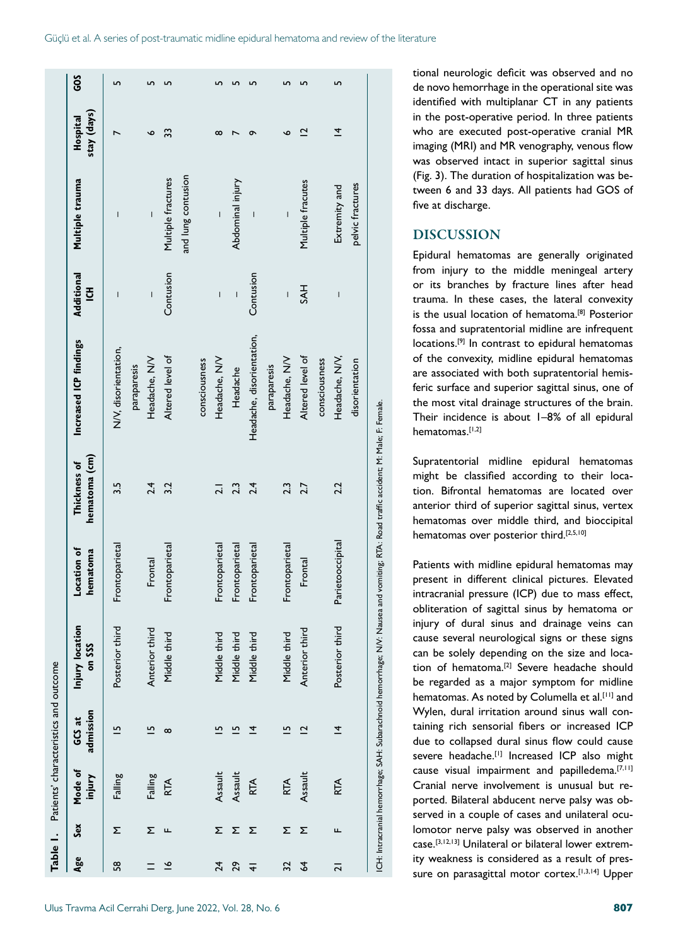| GOS                           | 5                                   | 5              | LO                 |                    | ഹ                                                                                                                                                                                                                                                                                                                                                                                                              | ഗ                        | S                                    | <u>m</u>                     | LO                | 5                              |                                                                                                                                                                                                                                                   | tional neurologic deficit was observed and no<br>de novo hemorrhage in the operational site was                                                                                                                                                                                                                                                                                      |  |
|-------------------------------|-------------------------------------|----------------|--------------------|--------------------|----------------------------------------------------------------------------------------------------------------------------------------------------------------------------------------------------------------------------------------------------------------------------------------------------------------------------------------------------------------------------------------------------------------|--------------------------|--------------------------------------|------------------------------|-------------------|--------------------------------|---------------------------------------------------------------------------------------------------------------------------------------------------------------------------------------------------------------------------------------------------|--------------------------------------------------------------------------------------------------------------------------------------------------------------------------------------------------------------------------------------------------------------------------------------------------------------------------------------------------------------------------------------|--|
| stay (days)<br>Hospital       | $\overline{ }$                      | o              | 33                 |                    | $\infty$                                                                                                                                                                                                                                                                                                                                                                                                       | $\overline{ }$           | $\sigma$                             | $\overline{\mathbf{C}}$<br>o | ᅕ                 |                                | identified with multiplanar CT in any patients<br>in the post-operative period. In three patients<br>who are executed post-operative cranial MR<br>imaging (MRI) and MR venography, venous flow<br>was observed intact in superior sagittal sinus |                                                                                                                                                                                                                                                                                                                                                                                      |  |
| Multiple trauma               | $\overline{\phantom{a}}$            |                | Multiple fractures | and lung contusion | $\begin{array}{c} \rule{0pt}{2ex} \rule{0pt}{2ex} \rule{0pt}{2ex} \rule{0pt}{2ex} \rule{0pt}{2ex} \rule{0pt}{2ex} \rule{0pt}{2ex} \rule{0pt}{2ex} \rule{0pt}{2ex} \rule{0pt}{2ex} \rule{0pt}{2ex} \rule{0pt}{2ex} \rule{0pt}{2ex} \rule{0pt}{2ex} \rule{0pt}{2ex} \rule{0pt}{2ex} \rule{0pt}{2ex} \rule{0pt}{2ex} \rule{0pt}{2ex} \rule{0pt}{2ex} \rule{0pt}{2ex} \rule{0pt}{2ex} \rule{0pt}{2ex} \rule{0pt}{$ | Abdominal injury         |                                      |                              | Multiple fracutes | Extremity and                  | pelvic fractures                                                                                                                                                                                                                                  | (Fig. 3). The duration of hospitalization was be-<br>tween 6 and 33 days. All patients had GOS of<br>five at discharge.                                                                                                                                                                                                                                                              |  |
|                               |                                     |                |                    |                    |                                                                                                                                                                                                                                                                                                                                                                                                                |                          |                                      |                              |                   |                                |                                                                                                                                                                                                                                                   | <b>DISCUSSION</b>                                                                                                                                                                                                                                                                                                                                                                    |  |
| Additional<br>$\overline{5}$  | $\overline{\phantom{a}}$            |                | Contusion          |                    | I                                                                                                                                                                                                                                                                                                                                                                                                              | $\overline{\phantom{a}}$ | Contusion                            |                              | <b>HYS</b>        |                                |                                                                                                                                                                                                                                                   | Epidural hematomas are generally originated<br>from injury to the middle meningeal artery<br>or its branches by fracture lines after head<br>trauma. In these cases, the lateral convexity<br>is the usual location of hematoma. <sup>[8]</sup> Posterior<br>fossa and supratentorial midline are infrequent                                                                         |  |
| Increased ICP findings        | N/V, disorientation,<br>paraparesis | Headache, NV   | Altered level of   |                    | Headache, NV<br>consciousness                                                                                                                                                                                                                                                                                                                                                                                  | Headache                 | Headache, disorientation,            | Headache, NV<br>paraparesis  | Altered level of  | Headache, NV,<br>consciousness | disorientation                                                                                                                                                                                                                                    | locations. <sup>[9]</sup> In contrast to epidural hematomas<br>of the convexity, midline epidural hematomas<br>are associated with both supratentorial hemis-<br>feric surface and superior sagittal sinus, one of<br>the most vital drainage structures of the brain.<br>Their incidence is about 1-8% of all epidural<br>hematomas.[1,2]                                           |  |
| hematoma (cm)<br>Thickness of | 3.5                                 | 2.4            | 3.2                |                    | $\overline{2.1}$                                                                                                                                                                                                                                                                                                                                                                                               |                          | $2.\overline{3}$<br>$2.\overline{4}$ | 2.3                          | 2.7               | 2.2                            |                                                                                                                                                                                                                                                   | ICH: Intracranial hemorrhage; SAH: Subarachnoid hemorrhage; NV: Nausea and vomiting; RTA: Road traffic accident; M; Male; F: Female.<br>Supratentorial midline epidural hematomas<br>might be classified according to their loca-<br>tion. Bifrontal hematomas are located over<br>anterior third of superior sagittal sinus, vertex<br>hematomas over middle third, and bioccipital |  |
| Location of<br>hematoma       | Frontoparietal                      | Frontal        | Frontoparietal     |                    | Frontoparietal                                                                                                                                                                                                                                                                                                                                                                                                 | Frontoparietal           | Frontoparietal                       | Frontoparietal               | Frontal           | Parietooccipital               |                                                                                                                                                                                                                                                   | hematomas over posterior third.[2,5,10]<br>Patients with midline epidural hematomas may<br>present in different clinical pictures. Elevated<br>intracranial pressure (ICP) due to mass effect,<br>obliteration of sagittal sinus by hematoma or                                                                                                                                      |  |
| Injury location<br>on SSS     | Posterior third                     | Anterior third | Middle third       |                    | Middle third                                                                                                                                                                                                                                                                                                                                                                                                   | Middle third             | Middle third                         | Middle third                 | Anterior third    | Posterior third                |                                                                                                                                                                                                                                                   | injury of dural sinus and drainage veins can<br>cause several neurological signs or these signs<br>can be solely depending on the size and loca-<br>tion of hematoma. <sup>[2]</sup> Severe headache should<br>be regarded as a major symptom for midline                                                                                                                            |  |
| admission<br>đ<br>ပ္မ         | $\overline{5}$                      | 뜨              | $\infty$           |                    | LO,                                                                                                                                                                                                                                                                                                                                                                                                            | rJ                       | ᅕ                                    | 뜨                            | $\overline{2}$    | $\overline{4}$                 |                                                                                                                                                                                                                                                   | hematomas. As noted by Columella et al.[11] and<br>Wylen, dural irritation around sinus wall con-<br>taining rich sensorial fibers or increased ICF<br>due to collapsed dural sinus flow could cause<br>severe headache.[1] Increased ICP also might                                                                                                                                 |  |
| Mode of<br>injury             | Falling                             | Falling        | <b>RTA</b>         |                    | Assault                                                                                                                                                                                                                                                                                                                                                                                                        | Assault                  | RTA                                  | <b>RTA</b>                   | Assault           | <b>RTA</b>                     |                                                                                                                                                                                                                                                   | cause visual impairment and papilledema. <sup>[7,11]</sup><br>Cranial nerve involvement is unusual but re-<br>ported. Bilateral abducent nerve palsy was ob-                                                                                                                                                                                                                         |  |
| Sex                           | Σ                                   | Σ              | ட                  |                    |                                                                                                                                                                                                                                                                                                                                                                                                                | Σ Σ Σ                    |                                      |                              | Σ Σ               | ட                              |                                                                                                                                                                                                                                                   | served in a couple of cases and unilateral ocu-<br>lomotor nerve palsy was observed in another                                                                                                                                                                                                                                                                                       |  |
| Age                           | 58                                  |                | $\tilde{=}$        |                    | $\overline{24}$                                                                                                                                                                                                                                                                                                                                                                                                | 29                       | $\overline{+}$                       | 32                           | 64                | $\overline{2}$                 |                                                                                                                                                                                                                                                   | case. <sup>[3,12,13]</sup> Unilateral or bilateral lower extrem-<br>ity weakness is considered as a result of pres-<br>sure on parasagittal motor cortex.[1,3,14] Upper                                                                                                                                                                                                              |  |

#### DISCUSSION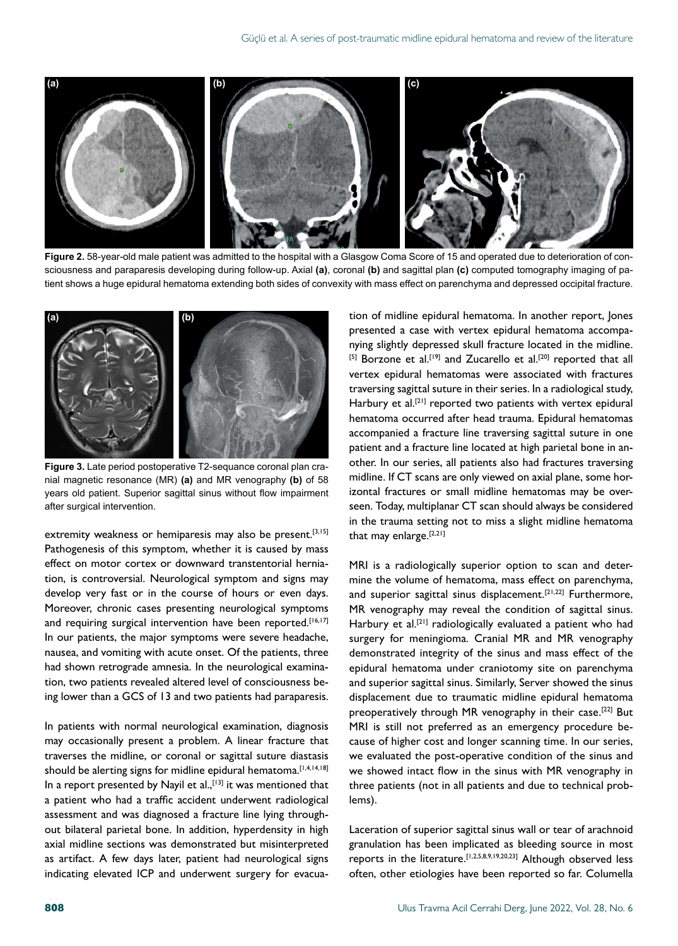

**Figure 2.** 58-year-old male patient was admitted to the hospital with a Glasgow Coma Score of 15 and operated due to deterioration of consciousness and paraparesis developing during follow-up. Axial **(a)**, coronal **(b)** and sagittal plan **(c)** computed tomography imaging of patient shows a huge epidural hematoma extending both sides of convexity with mass effect on parenchyma and depressed occipital fracture.



**Figure 3.** Late period postoperative T2-sequance coronal plan cranial magnetic resonance (MR) **(a)** and MR venography **(b)** of 58 years old patient. Superior sagittal sinus without flow impairment after surgical intervention.

extremity weakness or hemiparesis may also be present.<sup>[3,15]</sup> Pathogenesis of this symptom, whether it is caused by mass effect on motor cortex or downward transtentorial herniation, is controversial. Neurological symptom and signs may develop very fast or in the course of hours or even days. Moreover, chronic cases presenting neurological symptoms and requiring surgical intervention have been reported.<sup>[16,17]</sup> In our patients, the major symptoms were severe headache, nausea, and vomiting with acute onset. Of the patients, three had shown retrograde amnesia. In the neurological examination, two patients revealed altered level of consciousness being lower than a GCS of 13 and two patients had paraparesis.

In patients with normal neurological examination, diagnosis may occasionally present a problem. A linear fracture that traverses the midline, or coronal or sagittal suture diastasis should be alerting signs for midline epidural hematoma.<sup>[1,4,14,18]</sup> In a report presented by Nayil et al., [13] it was mentioned that a patient who had a traffic accident underwent radiological assessment and was diagnosed a fracture line lying throughout bilateral parietal bone. In addition, hyperdensity in high axial midline sections was demonstrated but misinterpreted as artifact. A few days later, patient had neurological signs indicating elevated ICP and underwent surgery for evacua-

tion of midline epidural hematoma. In another report, Jones presented a case with vertex epidural hematoma accompanying slightly depressed skull fracture located in the midline. [5] Borzone et al.<sup>[19]</sup> and Zucarello et al.<sup>[20]</sup> reported that all vertex epidural hematomas were associated with fractures traversing sagittal suture in their series. In a radiological study, Harbury et al.<sup>[21]</sup> reported two patients with vertex epidural hematoma occurred after head trauma. Epidural hematomas accompanied a fracture line traversing sagittal suture in one patient and a fracture line located at high parietal bone in another. In our series, all patients also had fractures traversing midline. If CT scans are only viewed on axial plane, some horizontal fractures or small midline hematomas may be overseen. Today, multiplanar CT scan should always be considered in the trauma setting not to miss a slight midline hematoma that may enlarge.<sup>[2,21]</sup>

MRI is a radiologically superior option to scan and determine the volume of hematoma, mass effect on parenchyma, and superior sagittal sinus displacement.<sup>[21,22]</sup> Furthermore, MR venography may reveal the condition of sagittal sinus. Harbury et al.<sup>[21]</sup> radiologically evaluated a patient who had surgery for meningioma. Cranial MR and MR venography demonstrated integrity of the sinus and mass effect of the epidural hematoma under craniotomy site on parenchyma and superior sagittal sinus. Similarly, Server showed the sinus displacement due to traumatic midline epidural hematoma preoperatively through MR venography in their case.<sup>[22]</sup> But MRI is still not preferred as an emergency procedure because of higher cost and longer scanning time. In our series, we evaluated the post-operative condition of the sinus and we showed intact flow in the sinus with MR venography in three patients (not in all patients and due to technical problems).

Laceration of superior sagittal sinus wall or tear of arachnoid granulation has been implicated as bleeding source in most reports in the literature.[1,2,5,8,9,19,20,23] Although observed less often, other etiologies have been reported so far. Columella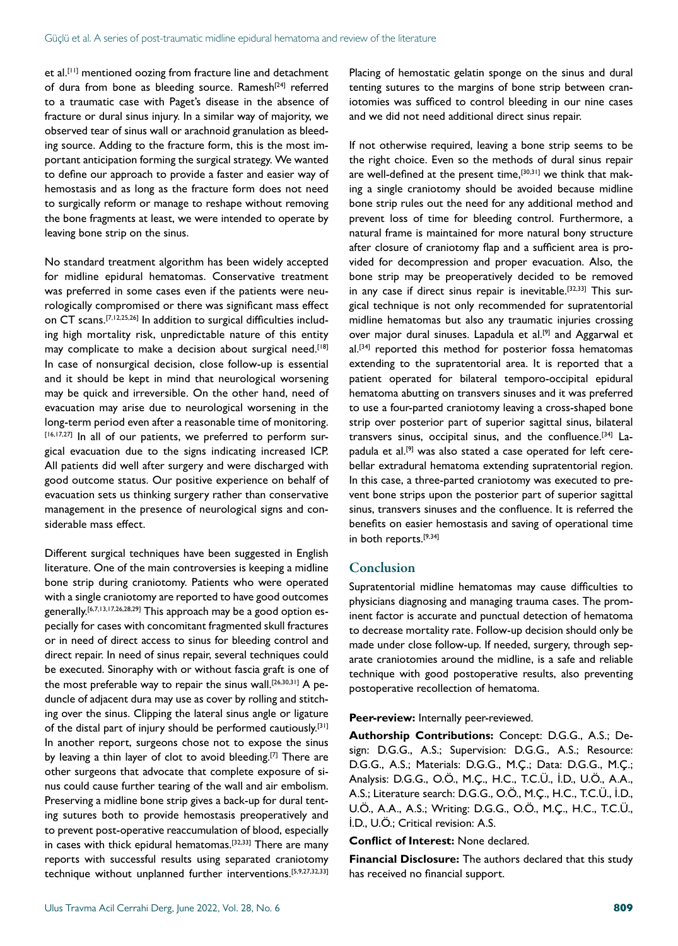et al.<sup>[11]</sup> mentioned oozing from fracture line and detachment of dura from bone as bleeding source. Ramesh<sup>[24]</sup> referred to a traumatic case with Paget's disease in the absence of fracture or dural sinus injury. In a similar way of majority, we observed tear of sinus wall or arachnoid granulation as bleeding source. Adding to the fracture form, this is the most important anticipation forming the surgical strategy. We wanted to define our approach to provide a faster and easier way of hemostasis and as long as the fracture form does not need to surgically reform or manage to reshape without removing the bone fragments at least, we were intended to operate by leaving bone strip on the sinus.

No standard treatment algorithm has been widely accepted for midline epidural hematomas. Conservative treatment was preferred in some cases even if the patients were neurologically compromised or there was significant mass effect on CT scans.[7,12,25,26] In addition to surgical difficulties including high mortality risk, unpredictable nature of this entity may complicate to make a decision about surgical need.<sup>[18]</sup> In case of nonsurgical decision, close follow-up is essential and it should be kept in mind that neurological worsening may be quick and irreversible. On the other hand, need of evacuation may arise due to neurological worsening in the long-term period even after a reasonable time of monitoring. [16,17,27] In all of our patients, we preferred to perform surgical evacuation due to the signs indicating increased ICP. All patients did well after surgery and were discharged with good outcome status. Our positive experience on behalf of evacuation sets us thinking surgery rather than conservative management in the presence of neurological signs and considerable mass effect.

Different surgical techniques have been suggested in English literature. One of the main controversies is keeping a midline bone strip during craniotomy. Patients who were operated with a single craniotomy are reported to have good outcomes generally.[6,7,13,17,26,28,29] This approach may be a good option especially for cases with concomitant fragmented skull fractures or in need of direct access to sinus for bleeding control and direct repair. In need of sinus repair, several techniques could be executed. Sinoraphy with or without fascia graft is one of the most preferable way to repair the sinus wall.<sup>[26,30,31]</sup> A peduncle of adjacent dura may use as cover by rolling and stitching over the sinus. Clipping the lateral sinus angle or ligature of the distal part of injury should be performed cautiously.<sup>[31]</sup> In another report, surgeons chose not to expose the sinus by leaving a thin layer of clot to avoid bleeding.[7] There are other surgeons that advocate that complete exposure of sinus could cause further tearing of the wall and air embolism. Preserving a midline bone strip gives a back-up for dural tenting sutures both to provide hemostasis preoperatively and to prevent post-operative reaccumulation of blood, especially in cases with thick epidural hematomas.<sup>[32,33]</sup> There are many reports with successful results using separated craniotomy technique without unplanned further interventions.[5,9,27,32,33]

Placing of hemostatic gelatin sponge on the sinus and dural tenting sutures to the margins of bone strip between craniotomies was sufficed to control bleeding in our nine cases and we did not need additional direct sinus repair.

If not otherwise required, leaving a bone strip seems to be the right choice. Even so the methods of dural sinus repair are well-defined at the present time,<sup>[30,31]</sup> we think that making a single craniotomy should be avoided because midline bone strip rules out the need for any additional method and prevent loss of time for bleeding control. Furthermore, a natural frame is maintained for more natural bony structure after closure of craniotomy flap and a sufficient area is provided for decompression and proper evacuation. Also, the bone strip may be preoperatively decided to be removed in any case if direct sinus repair is inevitable.<sup>[32,33]</sup> This surgical technique is not only recommended for supratentorial midline hematomas but also any traumatic injuries crossing over major dural sinuses. Lapadula et al.<sup>[9]</sup> and Aggarwal et al.<sup>[34]</sup> reported this method for posterior fossa hematomas extending to the supratentorial area. It is reported that a patient operated for bilateral temporo-occipital epidural hematoma abutting on transvers sinuses and it was preferred to use a four-parted craniotomy leaving a cross-shaped bone strip over posterior part of superior sagittal sinus, bilateral transvers sinus, occipital sinus, and the confluence.[34] Lapadula et al.<sup>[9]</sup> was also stated a case operated for left cerebellar extradural hematoma extending supratentorial region. In this case, a three-parted craniotomy was executed to prevent bone strips upon the posterior part of superior sagittal sinus, transvers sinuses and the confluence. It is referred the benefits on easier hemostasis and saving of operational time in both reports.[9,34]

#### Conclusion

Supratentorial midline hematomas may cause difficulties to physicians diagnosing and managing trauma cases. The prominent factor is accurate and punctual detection of hematoma to decrease mortality rate. Follow-up decision should only be made under close follow-up. If needed, surgery, through separate craniotomies around the midline, is a safe and reliable technique with good postoperative results, also preventing postoperative recollection of hematoma.

#### **Peer-review:** Internally peer-reviewed.

**Authorship Contributions:** Concept: D.G.G., A.S.; Design: D.G.G., A.S.; Supervision: D.G.G., A.S.; Resource: D.G.G., A.S.; Materials: D.G.G., M.Ç.; Data: D.G.G., M.Ç.; Analysis: D.G.G., O.Ö., M.Ç., H.C., T.C.Ü., İ.D., U.Ö., A.A., A.S.; Literature search: D.G.G., O.Ö., M.Ç., H.C., T.C.Ü., İ.D., U.Ö., A.A., A.S.; Writing: D.G.G., O.Ö., M.Ç., H.C., T.C.Ü., İ.D., U.Ö.; Critical revision: A.S.

#### **Conflict of Interest:** None declared.

**Financial Disclosure:** The authors declared that this study has received no financial support.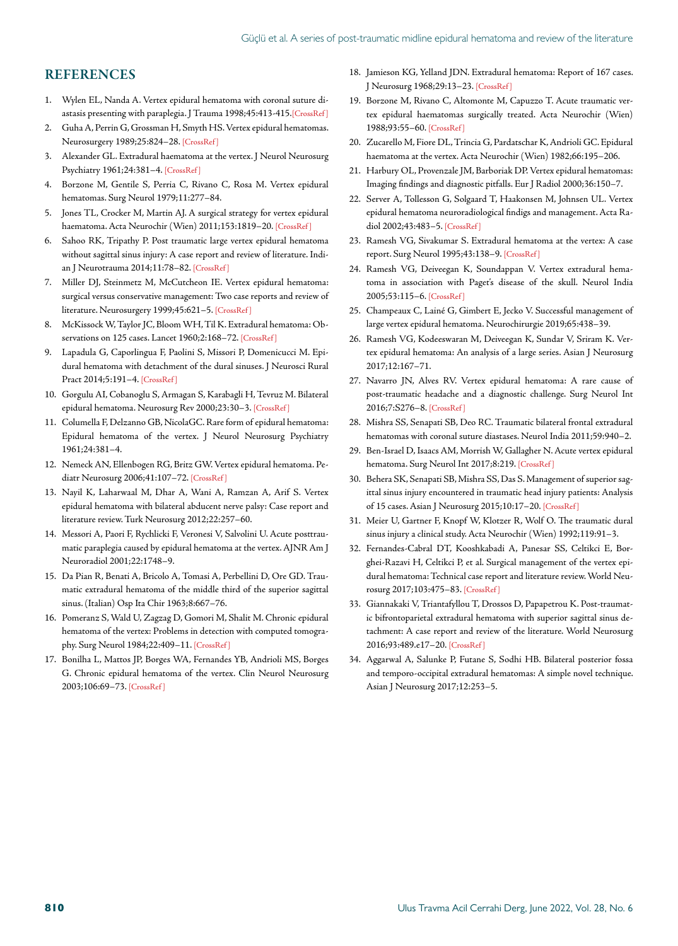#### **REFERENCES**

- 1. Wylen EL, Nanda A. Vertex epidural hematoma with coronal suture diastasis presenting with paraplegia. J Trauma 1998;45:413-41[5.\[CrossRef \]](https://doi.org/10.1097/00005373-199808000-00042)
- 2. Guha A, Perrin G, Grossman H, Smyth HS. Vertex epidural hematomas. Neurosurgery 1989;25:824–28[. \[CrossRef \]](https://doi.org/10.1227/00006123-198911000-00023)
- 3. Alexander GL. Extradural haematoma at the vertex. J Neurol Neurosurg Psychiatry 1961;24:381–[4. \[CrossRef \]](https://doi.org/10.1136/jnnp.24.4.381)
- 4. Borzone M, Gentile S, Perria C, Rivano C, Rosa M. Vertex epidural hematomas. Surg Neurol 1979;11:277–84.
- 5. Jones TL, Crocker M, Martin AJ. A surgical strategy for vertex epidural haematoma. Acta Neurochir (Wien) 2011;153:1819-20. [CrossRef]
- 6. Sahoo RK, Tripathy P. Post traumatic large vertex epidural hematoma without sagittal sinus injury: A case report and review of literature. Indian J Neurotrauma 2014;11:78–8[2. \[CrossRef \]](https://doi.org/10.1016/j.ijnt.2014.05.002)
- 7. Miller DJ, Steinmetz M, McCutcheon IE. Vertex epidural hematoma: surgical versus conservative management: Two case reports and review of literature. Neurosurgery 1999;45:621-5. [CrossRef]
- 8. McKissock W, Taylor JC, Bloom WH, Til K. Extradural hematoma: Observations on 125 cases. Lancet 1960;2:168-72. [CrossRef]
- 9. Lapadula G, Caporlingua F, Paolini S, Missori P, Domenicucci M. Epidural hematoma with detachment of the dural sinuses. J Neurosci Rural Pract 2014;5:191[–4. \[CrossRef \]](https://doi.org/10.4103/0976-3147.131680)
- 10. Gorgulu AI, Cobanoglu S, Armagan S, Karabagli H, Tevruz M. Bilateral epidural hematoma. Neurosurg Rev 2000;23:30–[3. \[CrossRef \]](https://doi.org/10.1007/s101430050028)
- 11. Columella F, Delzanno GB, NicolaGC. Rare form of epidural hematoma: Epidural hematoma of the vertex. J Neurol Neurosurg Psychiatry 1961;24:381–4.
- 12. Nemeck AN, Ellenbogen RG, Britz GW. Vertex epidural hematoma. Pediatr Neurosurg 2006;41:107–7[2. \[CrossRef \]](https://doi.org/10.1159/000085880)
- 13. Nayil K, Laharwaal M, Dhar A, Wani A, Ramzan A, Arif S. Vertex epidural hematoma with bilateral abducent nerve palsy: Case report and literature review. Turk Neurosurg 2012;22:257–60.
- 14. Messori A, Paori F, Rychlicki F, Veronesi V, Salvolini U. Acute posttraumatic paraplegia caused by epidural hematoma at the vertex. AJNR Am J Neuroradiol 2001;22:1748–9.
- 15. Da Pian R, Benati A, Bricolo A, Tomasi A, Perbellini D, Ore GD. Traumatic extradural hematoma of the middle third of the superior sagittal sinus. (Italian) Osp Ita Chir 1963;8:667–76.
- 16. Pomeranz S, Wald U, Zagzag D, Gomori M, Shalit M. Chronic epidural hematoma of the vertex: Problems in detection with computed tomography. Surg Neurol 1984;22:409–1[1. \[CrossRef \]](https://doi.org/10.1016/0090-3019(84)90148-4)
- 17. Bonilha L, Mattos JP, Borges WA, Fernandes YB, Andrioli MS, Borges G. Chronic epidural hematoma of the vertex. Clin Neurol Neurosurg 2003;106:69–73[. \[CrossRef \]](https://doi.org/10.1016/j.clineuro.2003.08.001)
- 18. Jamieson KG, Yelland JDN. Extradural hematoma: Report of 167 cases. J Neurosurg 1968;29:13–23[. \[CrossRef \]](https://doi.org/10.3171/jns.1968.29.1.0013)
- 19. Borzone M, Rivano C, Altomonte M, Capuzzo T. Acute traumatic vertex epidural haematomas surgically treated. Acta Neurochir (Wien) 1988;93:55–6[0. \[CrossRef \]](https://doi.org/10.1007/BF01409903)
- 20. Zucarello M, Fiore DL, Trincia G, Pardatschar K, Andrioli GC. Epidural haematoma at the vertex. Acta Neurochir (Wien) [1982;66:195–206.](https://doi.org/10.1007/BF02074506)
- 21. Harbury OL, Provenzale JM, Barboriak DP. Vertex epidural hematomas: Imaging findings and diagnostic pitfalls. Eur J R[adiol 2000;36:150–7.](https://doi.org/10.1016/S0720-048X(00)00175-3)
- 22. Server A, Tollesson G, Solgaard T, Haakonsen M, Johnsen UL. Vertex epidural hematoma neuroradiological findigs and management. Acta Radiol 2002;43:483–[5. \[CrossRef \]](https://doi.org/10.1258/rsmacta.43.5.483)
- 23. Ramesh VG, Sivakumar S. Extradural hematoma at the vertex: A case report. Surg Neurol 1995;43:138–[9. \[CrossRef \]](https://doi.org/10.1016/0090-3019(95)80123-X)
- 24. Ramesh VG, Deiveegan K, Soundappan V. Vertex extradural hematoma in association with Paget's disease of the skull. Neurol India 2005;53:115–[6. \[CrossRef \]](https://doi.org/10.4103/0028-3886.15077)
- 25. Champeaux C, Lainé G, Gimbert E, Jecko V. Successful management of large vertex epidural hematoma. Neurochiru[rgie 2019;65:438–39.](https://doi.org/10.1016/j.neuchi.2019.05.002)
- 26. Ramesh VG, Kodeeswaran M, Deiveegan K, Sundar V, Sriram K. Vertex epidural hematoma: An analysis of a large series. Asian J Neurosurg 2017;12:167–71.
- 27. Navarro JN, Alves RV. Vertex epidural hematoma: A rare cause of post-traumatic headache and a diagnostic challenge. Surg Neurol Int 2016;7:S276–[8. \[CrossRef \]](https://doi.org/10.4103/2152-7806.181982)
- 28. Mishra SS, Senapati SB, Deo RC. Traumatic bilateral frontal extradural hematomas with coronal suture diastases. Neu[rol India 2011;59:940–2.](https://doi.org/10.4103/0028-3886.91398)
- 29. Ben-Israel D, Isaacs AM, Morrish W, Gallagher N. Acute vertex epidural hematoma. Surg Neurol Int 2017;8:21[9. \[CrossRef \]](https://doi.org/10.4103/sni.sni_218_17)
- 30. Behera SK, Senapati SB, Mishra SS, Das S. Management of superior sagittal sinus injury encountered in traumatic head injury patients: Analysis of 15 cases. Asian J Neurosurg 2015;10:17–2[0. \[CrossRef \]](https://doi.org/10.4103/1793-5482.151503)
- 31. Meier U, Gartner F, Knopf W, Klotzer R, Wolf O. The traumatic dural sinus injury a clinical study. Acta Neurochir (Wie[n\) 1992;119:91–3.](https://doi.org/10.1007/BF01541788)
- 32. Fernandes-Cabral DT, Kooshkabadi A, Panesar SS, Celtikci E, Borghei-Razavi H, Celtikci P, et al. Surgical management of the vertex epidural hematoma: Technical case report and literature review. World Neurosurg 2017;103:475–[83. \[CrossRef \]](https://doi.org/10.1016/j.wneu.2017.04.040)
- 33. Giannakaki V, Triantafyllou T, Drossos D, Papapetrou K. Post-traumatic bifrontoparietal extradural hematoma with superior sagittal sinus detachment: A case report and review of the literature. World Neurosurg 2016;93:489.e17–[20. \[CrossRef \]](https://doi.org/10.1016/j.wneu.2016.06.085)
- 34. Aggarwal A, Salunke P, Futane S, Sodhi HB. Bilateral posterior fossa and temporo-occipital extradural hematomas: A simple novel technique. Asian J Neurosurg 2017;12:253–5.